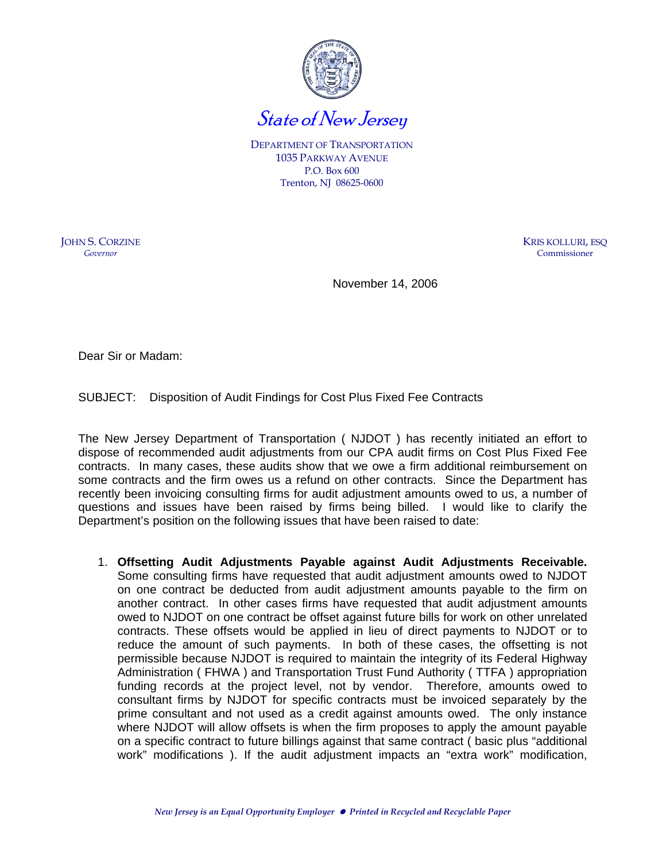

DEPARTMENT OF TRANSPORTATION 1035 PARKWAY AVENUE P.O. Box 600 Trenton, NJ 08625-0600

JOHN S. CORZINE *Governor* 

KRIS KOLLURI, ESQ Commissioner

November 14, 2006

Dear Sir or Madam:

SUBJECT: Disposition of Audit Findings for Cost Plus Fixed Fee Contracts

The New Jersey Department of Transportation ( NJDOT ) has recently initiated an effort to dispose of recommended audit adjustments from our CPA audit firms on Cost Plus Fixed Fee contracts. In many cases, these audits show that we owe a firm additional reimbursement on some contracts and the firm owes us a refund on other contracts. Since the Department has recently been invoicing consulting firms for audit adjustment amounts owed to us, a number of questions and issues have been raised by firms being billed. I would like to clarify the Department's position on the following issues that have been raised to date:

1. **Offsetting Audit Adjustments Payable against Audit Adjustments Receivable.**  Some consulting firms have requested that audit adjustment amounts owed to NJDOT on one contract be deducted from audit adjustment amounts payable to the firm on another contract. In other cases firms have requested that audit adjustment amounts owed to NJDOT on one contract be offset against future bills for work on other unrelated contracts. These offsets would be applied in lieu of direct payments to NJDOT or to reduce the amount of such payments. In both of these cases, the offsetting is not permissible because NJDOT is required to maintain the integrity of its Federal Highway Administration ( FHWA ) and Transportation Trust Fund Authority ( TTFA ) appropriation funding records at the project level, not by vendor. Therefore, amounts owed to consultant firms by NJDOT for specific contracts must be invoiced separately by the prime consultant and not used as a credit against amounts owed. The only instance where NJDOT will allow offsets is when the firm proposes to apply the amount payable on a specific contract to future billings against that same contract ( basic plus "additional work" modifications ). If the audit adjustment impacts an "extra work" modification,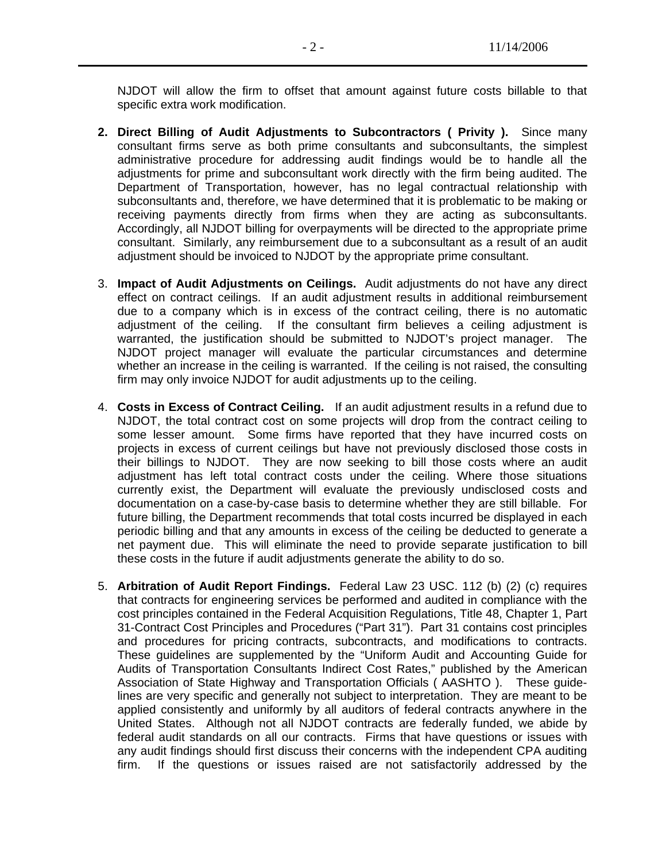NJDOT will allow the firm to offset that amount against future costs billable to that specific extra work modification.

- **2. Direct Billing of Audit Adjustments to Subcontractors ( Privity ).** Since many consultant firms serve as both prime consultants and subconsultants, the simplest administrative procedure for addressing audit findings would be to handle all the adjustments for prime and subconsultant work directly with the firm being audited. The Department of Transportation, however, has no legal contractual relationship with subconsultants and, therefore, we have determined that it is problematic to be making or receiving payments directly from firms when they are acting as subconsultants. Accordingly, all NJDOT billing for overpayments will be directed to the appropriate prime consultant. Similarly, any reimbursement due to a subconsultant as a result of an audit adjustment should be invoiced to NJDOT by the appropriate prime consultant.
- 3. **Impact of Audit Adjustments on Ceilings.** Audit adjustments do not have any direct effect on contract ceilings. If an audit adjustment results in additional reimbursement due to a company which is in excess of the contract ceiling, there is no automatic adjustment of the ceiling. If the consultant firm believes a ceiling adjustment is warranted, the justification should be submitted to NJDOT's project manager. The NJDOT project manager will evaluate the particular circumstances and determine whether an increase in the ceiling is warranted. If the ceiling is not raised, the consulting firm may only invoice NJDOT for audit adjustments up to the ceiling.
- 4. **Costs in Excess of Contract Ceiling.** If an audit adjustment results in a refund due to NJDOT, the total contract cost on some projects will drop from the contract ceiling to some lesser amount. Some firms have reported that they have incurred costs on projects in excess of current ceilings but have not previously disclosed those costs in their billings to NJDOT. They are now seeking to bill those costs where an audit adjustment has left total contract costs under the ceiling. Where those situations currently exist, the Department will evaluate the previously undisclosed costs and documentation on a case-by-case basis to determine whether they are still billable. For future billing, the Department recommends that total costs incurred be displayed in each periodic billing and that any amounts in excess of the ceiling be deducted to generate a net payment due. This will eliminate the need to provide separate justification to bill these costs in the future if audit adjustments generate the ability to do so.
- 5. **Arbitration of Audit Report Findings.** Federal Law 23 USC. 112 (b) (2) (c) requires that contracts for engineering services be performed and audited in compliance with the cost principles contained in the Federal Acquisition Regulations, Title 48, Chapter 1, Part 31-Contract Cost Principles and Procedures ("Part 31"). Part 31 contains cost principles and procedures for pricing contracts, subcontracts, and modifications to contracts. These guidelines are supplemented by the "Uniform Audit and Accounting Guide for Audits of Transportation Consultants Indirect Cost Rates," published by the American Association of State Highway and Transportation Officials ( AASHTO ). These guidelines are very specific and generally not subject to interpretation. They are meant to be applied consistently and uniformly by all auditors of federal contracts anywhere in the United States. Although not all NJDOT contracts are federally funded, we abide by federal audit standards on all our contracts. Firms that have questions or issues with any audit findings should first discuss their concerns with the independent CPA auditing firm. If the questions or issues raised are not satisfactorily addressed by the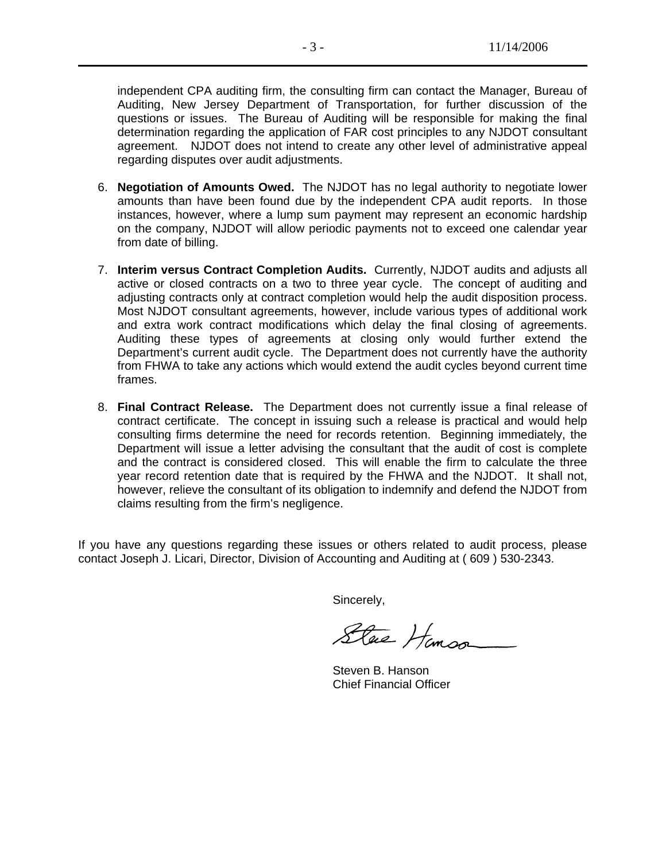independent CPA auditing firm, the consulting firm can contact the Manager, Bureau of Auditing, New Jersey Department of Transportation, for further discussion of the questions or issues. The Bureau of Auditing will be responsible for making the final determination regarding the application of FAR cost principles to any NJDOT consultant agreement. NJDOT does not intend to create any other level of administrative appeal regarding disputes over audit adjustments.

- 6. **Negotiation of Amounts Owed.** The NJDOT has no legal authority to negotiate lower amounts than have been found due by the independent CPA audit reports. In those instances, however, where a lump sum payment may represent an economic hardship on the company, NJDOT will allow periodic payments not to exceed one calendar year from date of billing.
- 7. **Interim versus Contract Completion Audits.** Currently, NJDOT audits and adjusts all active or closed contracts on a two to three year cycle. The concept of auditing and adjusting contracts only at contract completion would help the audit disposition process. Most NJDOT consultant agreements, however, include various types of additional work and extra work contract modifications which delay the final closing of agreements. Auditing these types of agreements at closing only would further extend the Department's current audit cycle. The Department does not currently have the authority from FHWA to take any actions which would extend the audit cycles beyond current time frames.
- 8. **Final Contract Release.** The Department does not currently issue a final release of contract certificate. The concept in issuing such a release is practical and would help consulting firms determine the need for records retention. Beginning immediately, the Department will issue a letter advising the consultant that the audit of cost is complete and the contract is considered closed. This will enable the firm to calculate the three year record retention date that is required by the FHWA and the NJDOT. It shall not, however, relieve the consultant of its obligation to indemnify and defend the NJDOT from claims resulting from the firm's negligence.

If you have any questions regarding these issues or others related to audit process, please contact Joseph J. Licari, Director, Division of Accounting and Auditing at ( 609 ) 530-2343.

Sincerely,

Stac Hamson

 Steven B. Hanson Chief Financial Officer